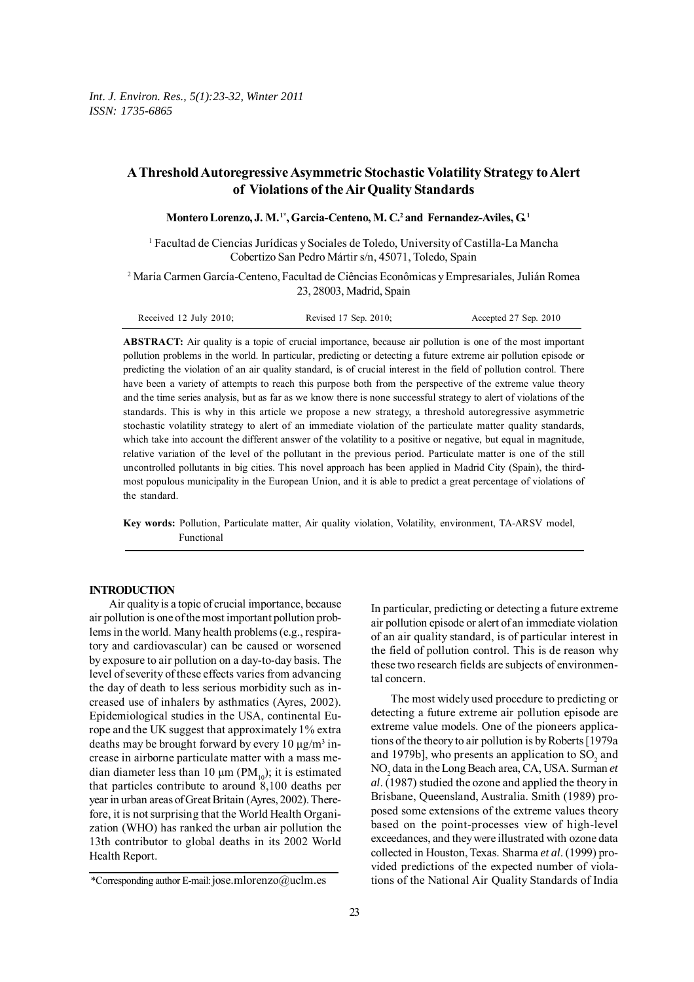# **A Threshold Autoregressive Asymmetric Stochastic Volatility Strategy to Alert of Violations of the Air Quality Standards**

Montero Lorenzo, J. M.<sup>1\*</sup>, Garcia-Centeno, M. C.<sup>2</sup> and Fernandez-Aviles, G.<sup>1</sup>

1 Facultad de Ciencias Jurídicas y Sociales de Toledo, University of Castilla-La Mancha Cobertizo San Pedro Mártir s/n, 45071, Toledo, Spain

2 María Carmen García-Centeno, Facultad de Ciências Econômicas y Empresariales, Julián Romea 23, 28003, Madrid, Spain

| Received 12 July 2010; | Revised 17 Sep. 2010; | Accepted 27 Sep. 2010 |
|------------------------|-----------------------|-----------------------|
|                        |                       |                       |

**ABSTRACT:** Air quality is a topic of crucial importance, because air pollution is one of the most important pollution problems in the world. In particular, predicting or detecting a future extreme air pollution episode or predicting the violation of an air quality standard, is of crucial interest in the field of pollution control. There have been a variety of attempts to reach this purpose both from the perspective of the extreme value theory and the time series analysis, but as far as we know there is none successful strategy to alert of violations of the standards. This is why in this article we propose a new strategy, a threshold autoregressive asymmetric stochastic volatility strategy to alert of an immediate violation of the particulate matter quality standards, which take into account the different answer of the volatility to a positive or negative, but equal in magnitude, relative variation of the level of the pollutant in the previous period. Particulate matter is one of the still uncontrolled pollutants in big cities. This novel approach has been applied in Madrid City (Spain), the thirdmost populous municipality in the European Union, and it is able to predict a great percentage of violations of the standard.

**Key words:** Pollution, Particulate matter, Air quality violation, Volatility, environment, TA-ARSV model, Functional

## **INTRODUCTION**

Air quality is a topic of crucial importance, because air pollution is one of the most important pollution problems in the world. Many health problems (e.g., respiratory and cardiovascular) can be caused or worsened by exposure to air pollution on a day-to-day basis. The level of severity of these effects varies from advancing the day of death to less serious morbidity such as increased use of inhalers by asthmatics (Ayres, 2002). Epidemiological studies in the USA, continental Europe and the UK suggest that approximately 1% extra deaths may be brought forward by every  $10 \mu g/m^3$  increase in airborne particulate matter with a mass median diameter less than 10  $\mu$ m (PM<sub>10</sub>); it is estimated that particles contribute to around  $8,100$  deaths per year in urban areas of Great Britain (Ayres, 2002). Therefore, it is not surprising that the World Health Organization (WHO) has ranked the urban air pollution the 13th contributor to global deaths in its 2002 World Health Report.

In particular, predicting or detecting a future extreme air pollution episode or alert of an immediate violation of an air quality standard, is of particular interest in the field of pollution control. This is de reason why these two research fields are subjects of environmental concern.

The most widely used procedure to predicting or detecting a future extreme air pollution episode are extreme value models. One of the pioneers applications of the theory to air pollution is by Roberts [1979a and 1979b], who presents an application to  $SO_2$  and NO2 data in the Long Beach area, CA, USA. Surman *et al*. (1987) studied the ozone and applied the theory in Brisbane, Queensland, Australia. Smith (1989) proposed some extensions of the extreme values theory based on the point-processes view of high-level exceedances, and they were illustrated with ozone data collected in Houston, Texas. Sharma *et al*. (1999) provided predictions of the expected number of violations of the National Air Quality Standards of India

<sup>\*</sup>Corresponding author E-mail: jose.mlorenzo@uclm.es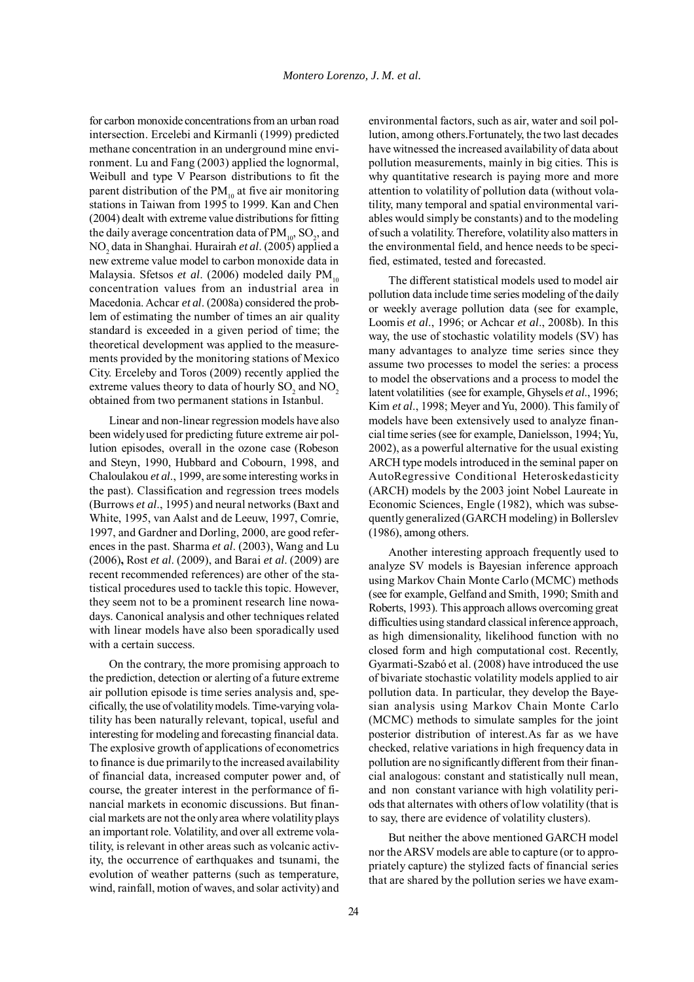for carbon monoxide concentrations from an urban road intersection. Ercelebi and Kirmanli (1999) predicted methane concentration in an underground mine environment. Lu and Fang (2003) applied the lognormal, Weibull and type V Pearson distributions to fit the parent distribution of the  $PM_{10}$  at five air monitoring stations in Taiwan from 1995 to 1999. Kan and Chen (2004) dealt with extreme value distributions for fitting the daily average concentration data of  $\text{PM}_{10}$ , SO<sub>2</sub>, and NO2 data in Shanghai. Hurairah *et al*. (2005) applied a new extreme value model to carbon monoxide data in Malaysia. Sfetsos et al. (2006) modeled daily PM<sub>10</sub> concentration values from an industrial area in Macedonia. Achcar *et al*. (2008a) considered the problem of estimating the number of times an air quality standard is exceeded in a given period of time; the theoretical development was applied to the measurements provided by the monitoring stations of Mexico City. Erceleby and Toros (2009) recently applied the extreme values theory to data of hourly  $\text{SO}_2$  and  $\text{NO}_2$ obtained from two permanent stations in Istanbul.

Linear and non-linear regression models have also been widely used for predicting future extreme air pollution episodes, overall in the ozone case (Robeson and Steyn, 1990, Hubbard and Cobourn, 1998, and Chaloulakou *et al*., 1999, are some interesting works in the past). Classification and regression trees models (Burrows *et al*., 1995) and neural networks (Baxt and White, 1995, van Aalst and de Leeuw, 1997, Comrie, 1997, and Gardner and Dorling, 2000, are good references in the past. Sharma *et al*. (2003), Wang and Lu (2006)**,** Rost *et al*. (2009), and Barai *et al*. (2009) are recent recommended references) are other of the statistical procedures used to tackle this topic. However, they seem not to be a prominent research line nowadays. Canonical analysis and other techniques related with linear models have also been sporadically used with a certain success.

On the contrary, the more promising approach to the prediction, detection or alerting of a future extreme air pollution episode is time series analysis and, specifically, the use of volatility models. Time-varying volatility has been naturally relevant, topical, useful and interesting for modeling and forecasting financial data. The explosive growth of applications of econometrics to finance is due primarily to the increased availability of financial data, increased computer power and, of course, the greater interest in the performance of financial markets in economic discussions. But financial markets are not the only area where volatility plays an important role. Volatility, and over all extreme volatility, is relevant in other areas such as volcanic activity, the occurrence of earthquakes and tsunami, the evolution of weather patterns (such as temperature, wind, rainfall, motion of waves, and solar activity) and

environmental factors, such as air, water and soil pollution, among others.Fortunately, the two last decades have witnessed the increased availability of data about pollution measurements, mainly in big cities. This is why quantitative research is paying more and more attention to volatility of pollution data (without volatility, many temporal and spatial environmental variables would simply be constants) and to the modeling of such a volatility. Therefore, volatility also matters in the environmental field, and hence needs to be specified, estimated, tested and forecasted.

The different statistical models used to model air pollution data include time series modeling of the daily or weekly average pollution data (see for example, Loomis *et al*., 1996; or Achcar *et al*., 2008b). In this way, the use of stochastic volatility models (SV) has many advantages to analyze time series since they assume two processes to model the series: a process to model the observations and a process to model the latent volatilities (see for example, Ghysels *et al*., 1996; Kim *et al*., 1998; Meyer and Yu, 2000). This family of models have been extensively used to analyze financial time series (see for example, Danielsson, 1994; Yu, 2002), as a powerful alternative for the usual existing ARCH type models introduced in the seminal paper on AutoRegressive Conditional Heteroskedasticity (ARCH) models by the 2003 joint Nobel Laureate in Economic Sciences, Engle (1982), which was subsequently generalized (GARCH modeling) in Bollerslev (1986), among others.

Another interesting approach frequently used to analyze SV models is Bayesian inference approach using Markov Chain Monte Carlo (MCMC) methods (see for example, Gelfand and Smith, 1990; Smith and Roberts, 1993). This approach allows overcoming great difficulties using standard classical inference approach, as high dimensionality, likelihood function with no closed form and high computational cost. Recently, Gyarmati-Szabó et al. (2008) have introduced the use of bivariate stochastic volatility models applied to air pollution data. In particular, they develop the Bayesian analysis using Markov Chain Monte Carlo (MCMC) methods to simulate samples for the joint posterior distribution of interest.As far as we have checked, relative variations in high frequency data in pollution are no significantly different from their financial analogous: constant and statistically null mean, and non constant variance with high volatility periods that alternates with others of low volatility (that is to say, there are evidence of volatility clusters).

But neither the above mentioned GARCH model nor the ARSV models are able to capture (or to appropriately capture) the stylized facts of financial series that are shared by the pollution series we have exam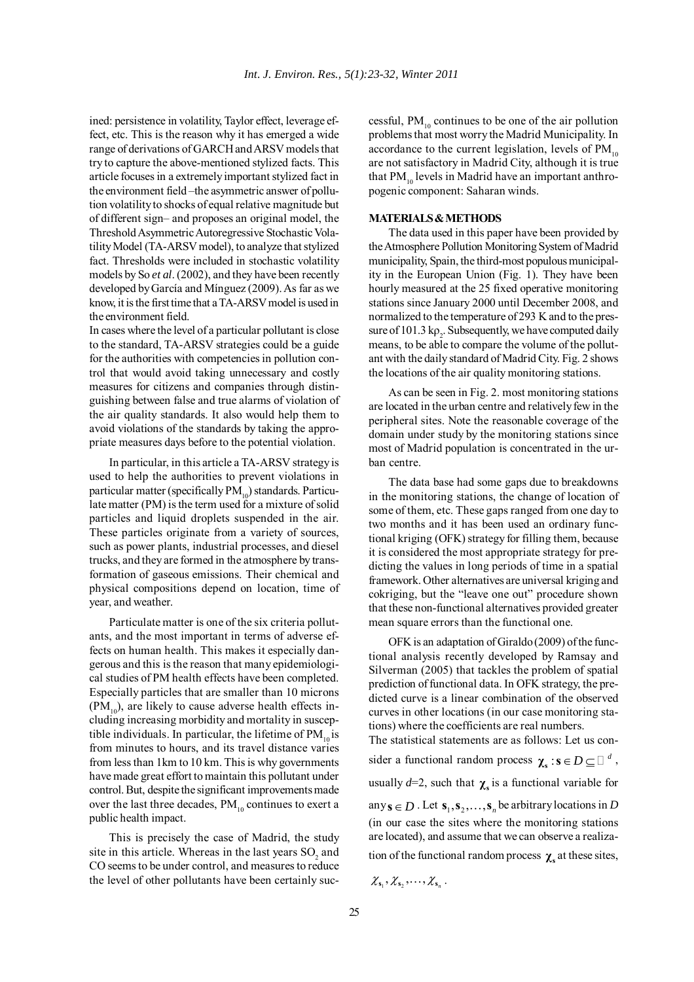ined: persistence in volatility, Taylor effect, leverage effect, etc. This is the reason why it has emerged a wide range of derivations of GARCH and ARSV models that try to capture the above-mentioned stylized facts. This article focuses in a extremely important stylized fact in the environment field –the asymmetric answer of pollution volatility to shocks of equal relative magnitude but of different sign– and proposes an original model, the Threshold Asymmetric Autoregressive Stochastic Volatility Model (TA-ARSV model), to analyze that stylized fact. Thresholds were included in stochastic volatility models by So *et al*. (2002), and they have been recently developed by García and Mínguez (2009). As far as we know, it is the first time that a TA-ARSV model is used in the environment field.

In cases where the level of a particular pollutant is close to the standard, TA-ARSV strategies could be a guide for the authorities with competencies in pollution control that would avoid taking unnecessary and costly measures for citizens and companies through distinguishing between false and true alarms of violation of the air quality standards. It also would help them to avoid violations of the standards by taking the appropriate measures days before to the potential violation.

In particular, in this article a TA-ARSV strategy is used to help the authorities to prevent violations in particular matter (specifically  $PM_{10}$ ) standards. Particulate matter (PM) is the term used for a mixture of solid particles and liquid droplets suspended in the air. These particles originate from a variety of sources, such as power plants, industrial processes, and diesel trucks, and they are formed in the atmosphere by transformation of gaseous emissions. Their chemical and physical compositions depend on location, time of year, and weather.

Particulate matter is one of the six criteria pollutants, and the most important in terms of adverse effects on human health. This makes it especially dangerous and this is the reason that many epidemiological studies of PM health effects have been completed. Especially particles that are smaller than 10 microns  $(PM<sub>10</sub>)$ , are likely to cause adverse health effects including increasing morbidity and mortality in susceptible individuals. In particular, the lifetime of  $PM_{10}$  is from minutes to hours, and its travel distance varies from less than 1km to 10 km. This is why governments have made great effort to maintain this pollutant under control. But, despite the significant improvements made over the last three decades,  $PM_{10}$  continues to exert a public health impact.

This is precisely the case of Madrid, the study site in this article. Whereas in the last years  $SO_2$  and CO seems to be under control, and measures to reduce the level of other pollutants have been certainly successful,  $PM_{10}$  continues to be one of the air pollution problems that most worry the Madrid Municipality. In accordance to the current legislation, levels of  $PM_{10}$ are not satisfactory in Madrid City, although it is true that  $PM_{10}$  levels in Madrid have an important anthropogenic component: Saharan winds.

## **MATERIALS & METHODS**

The data used in this paper have been provided by the Atmosphere Pollution Monitoring System of Madrid municipality, Spain, the third-most populous municipality in the European Union (Fig. 1). They have been hourly measured at the 25 fixed operative monitoring stations since January 2000 until December 2008, and normalized to the temperature of 293 K and to the pressure of 101.3  $\mathrm{k}\rho_2$ . Subsequently, we have computed daily means, to be able to compare the volume of the pollutant with the daily standard of Madrid City. Fig. 2 shows the locations of the air quality monitoring stations.

As can be seen in Fig. 2. most monitoring stations are located in the urban centre and relatively few in the peripheral sites. Note the reasonable coverage of the domain under study by the monitoring stations since most of Madrid population is concentrated in the urban centre.

The data base had some gaps due to breakdowns in the monitoring stations, the change of location of some of them, etc. These gaps ranged from one day to two months and it has been used an ordinary functional kriging (OFK) strategy for filling them, because it is considered the most appropriate strategy for predicting the values in long periods of time in a spatial framework. Other alternatives are universal kriging and cokriging, but the "leave one out" procedure shown that these non-functional alternatives provided greater mean square errors than the functional one.

OFK is an adaptation of Giraldo (2009) of the functional analysis recently developed by Ramsay and Silverman (2005) that tackles the problem of spatial prediction of functional data. In OFK strategy, the predicted curve is a linear combination of the observed curves in other locations (in our case monitoring stations) where the coefficients are real numbers.

The statistical statements are as follows: Let us consider a functional random process  $\chi$ **s**  $:$  **s**  $\in$  *D*  $\subseteq$   $\Box$ <sup>*d*</sup>, usually  $d=2$ , such that  $\chi$ <sub>s</sub> is a functional variable for any  $\mathbf{s} \in D$ . Let  $\mathbf{s}_1, \mathbf{s}_2, \ldots, \mathbf{s}_n$  be arbitrary locations in *D* (in our case the sites where the monitoring stations are located), and assume that we can observe a realization of the functional random process  $\chi$  at these sites,

$$
\chi_{s_1}, \chi_{s_2}, \ldots, \chi_{s_n}.
$$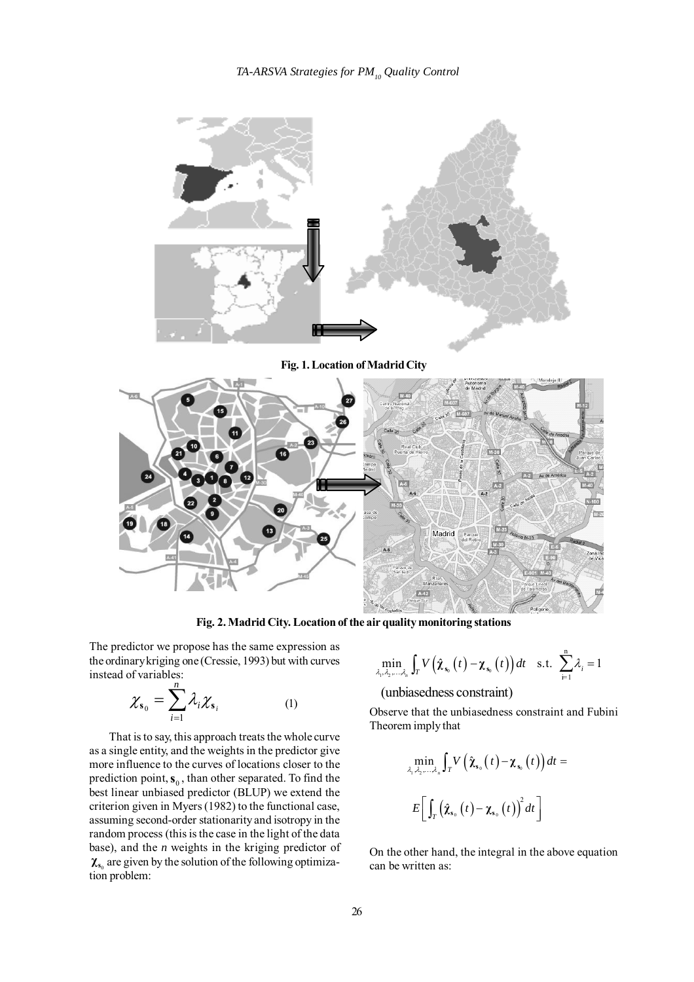

**Fig. 1. Location of Madrid City**



**Fig. 2. Madrid City. Location of the air quality monitoring stations**

instead of variables:<br> $\frac{n}{a}$ The predictor we propose has the same expression as the ordinary kriging one (Cressie, 1993) but with curves

$$
\chi_{s_0} = \sum_{i=1}^n \lambda_i \chi_{s_i} \tag{1}
$$

criterion given in Myers (1982) to the functional case,<br>assuming second-order stationarity and isotropy in the assuming second-order stationarity and isotropy in the  $\mathbb{L}^{J_T}$ That is to say, this approach treats the whole curve as a single entity, and the weights in the predictor give more influence to the curves of locations closer to the prediction point,  $s_0$ , than other separated. To find the best linear unbiased predictor (BLUP) we extend the random process (this is the case in the light of the data base), and the *n* weights in the kriging predictor of  $\chi_{s_0}$  are given by the solution of the following optimization problem:

$$
\min_{\lambda_1, \lambda_2, \dots, \lambda_n} \int_T V\left(\hat{\boldsymbol{\chi}}_{s_0}\left(t\right) - \boldsymbol{\chi}_{s_0}\left(t\right)\right) dt \quad \text{s.t.} \quad \sum_{i=1}^n \lambda_i = 1
$$

 $(unbiasedness constraint)$ 

Observe that the unbiasedness constraint and Fubini Theorem imply that

$$
\min_{\lambda_1, \lambda_2, ..., \lambda_n} \int_T V\left(\hat{\boldsymbol{\chi}}_{\mathbf{s}_0}\left(t\right) - \boldsymbol{\chi}_{\mathbf{s}_0}\left(t\right)\right) dt =
$$
  

$$
E\bigg[\int_T \left(\hat{\boldsymbol{\chi}}_{\mathbf{s}_0}\left(t\right) - \boldsymbol{\chi}_{\mathbf{s}_0}\left(t\right)\right)^2 dt\bigg]
$$

On the other hand, the integral in the above equation can be written as: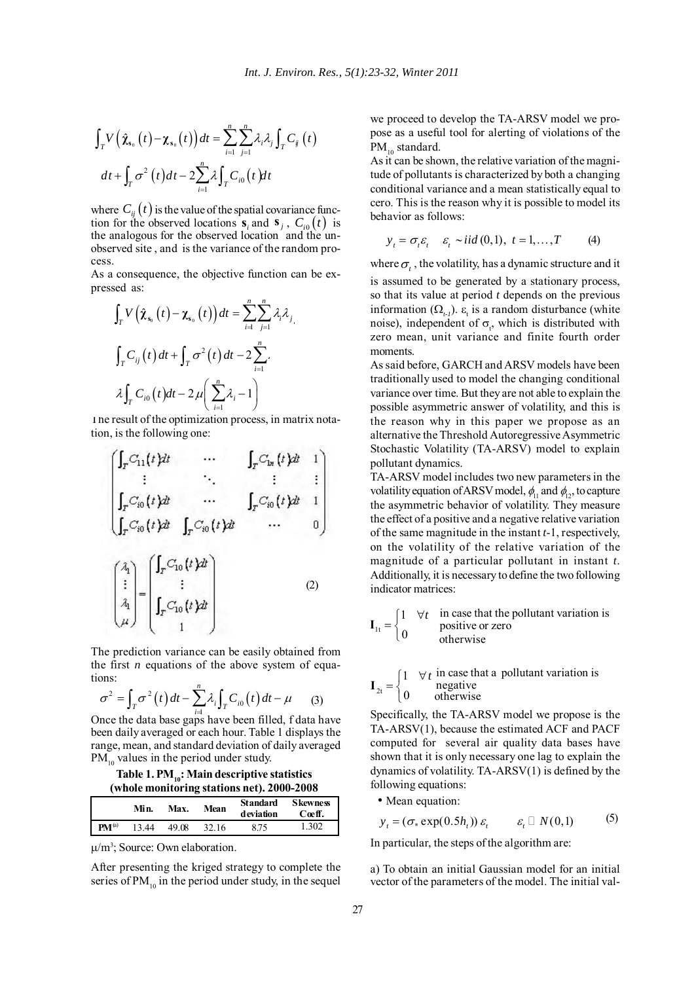$$
\int_{T} V\left(\hat{\chi}_{s_0}\left(t\right) - \chi_{s_0}\left(t\right)\right) dt = \sum_{i=1}^{n} \sum_{j=1}^{n} \lambda_i \lambda_j \int_{T} C_{ij}\left(t\right)
$$
\npose as a useful tool for  
\n
$$
dt + \int_{T} \sigma^2\left(t\right) dt - 2 \sum_{i=1}^{n} \lambda_i \int_{T} C_{i0}\left(t\right) dt
$$
\n
$$
\int_{T} C_{i0}\left(t\right) dt
$$
\n
$$
= \int_{\text{tude of pollutants is chi}}^{\text{dust and red}} \text{constant}
$$
\n
$$
= \int_{\text{tude of pollutants}}^{\text{dust and red}} \text{constant}
$$

where  $C_{ii}(t)$  is the value of the spatial covariance function for the observed locations **s**<sub>*i*</sub> and **s**<sub>*i*</sub> ,  $C_{i0}(t)$  is the analogous for the observed location and the unobserved site , and is the variance of the random process.

As a consequence, the objective function can be expressed as:

$$
\int_{T} V\left(\hat{\chi}_{s_{0}}(t) - \chi_{s_{0}}(t)\right) dt = \sum_{i=1}^{n} \sum_{j=1}^{n} \lambda_{i} \lambda_{j}
$$
\ninformation is a specific function:

\n
$$
\int_{T} C_{ij}(t) dt + \int_{T} \sigma^{2}(t) dt - 2 \sum_{i=1}^{n} \text{ moments.}
$$
\n
$$
\lambda \int_{T} C_{i0}(t) dt - 2 \mu \left(\sum_{i=1}^{n} \lambda_{i} - 1\right)
$$
\ntransition is a specific function:

\n
$$
\lambda \int_{T} C_{i0}(t) dt - 2 \mu \left(\sum_{i=1}^{n} \lambda_{i} - 1\right)
$$
\ntransition is a specific function.

\ntransition is a specific function.

The result of the optimization process, in matrix notation, is the following one:

$$
\begin{pmatrix}\n\int_T C_{11}(t)dt & \cdots & \int_T C_{1n}(t)dt & 1 \\
\vdots & \ddots & \vdots & \vdots \\
\int_T C_{i0}(t)dt & \cdots & \int_T C_{i0}(t)dt & 1 \\
\int_T C_{i0}(t)dt & \int_T C_{i0}(t)dt & \cdots & 0\n\end{pmatrix}
$$
\n
$$
\begin{pmatrix}\n\lambda_1 \\
\vdots \\
\lambda_4 \\
\mu\n\end{pmatrix} = \begin{pmatrix}\n\int_T C_{10}(t)dt \\
\vdots \\
\int_T C_{10}(t)dt \\
1\n\end{pmatrix}
$$
\n(2)

The prediction variance can be easily obtained from the first *n* equations of the above system of equations:

$$
\sigma^2 = \int_T \sigma^2(t) dt - \sum_{i=1}^n \lambda_i \int_T C_{i0}(t) dt - \mu
$$
 (3)  
Once the data base gaps have been filled, f data have

been daily averaged or each hour. Table 1 displays the range, mean, and standard deviation of daily averaged  $PM_{10}$  values in the period under study.

Table 1. PM<sub>10</sub>: Main descriptive statistics **(whole monitoring stations net). 2000-2008**

|            | Mi n. | Max.   | Mean  | <b>Standard</b><br>deviation | <b>Skewness</b><br>Coeff. |  |  |
|------------|-------|--------|-------|------------------------------|---------------------------|--|--|
| $PM^{(a)}$ | 13.44 | 49 O.R | 32.16 | 8.75                         | 1.302                     |  |  |
|            |       |        |       |                              |                           |  |  |

 $\mu/m^3$ ; Source: Own elaboration.

After presenting the kriged strategy to complete the series of  $PM_{10}$  in the period under study, in the sequel

 $V(\hat{\chi}_{\epsilon}(t) - \chi_{\epsilon}(t)) dt = \sum_{i=1}^{n} \sum_{i=1}^{n} \lambda_{i} \lambda_{i} \int C_{\epsilon}(t)$  pose as a useful tool for alerting of violations of the we proceed to develop the TA-ARSV model we pro-

> As it can be shown, the relative variation of the magnitude of pollutants is characterized by both a changing conditional variance and a mean statistically equal to cero. This is the reason why it is possible to model its behavior as follows:

$$
y_t = \sigma_t \varepsilon_t \quad \varepsilon_t \sim \text{iid}\,(0,1), \ t = 1,\dots,T \tag{4}
$$

where  $\sigma$ , , the volatility, has a dynamic structure and it

 $\int_{T} V(\hat{\mathbf{\chi}}_{s_i}(t) - \mathbf{\chi}_{s_0}(t)) dt = \sum_{i=1}^{n} \sum_{j=1}^{n} \lambda_i \lambda_j$  information  $(\Omega_{t-1})$ .  $\epsilon_t$  is a random disturbance (white noise), independent of  $\sigma_t$ , which is distributed with  $T^{\mathbf{v}}(\mathbf{X}_{\mathbf{s}_0}(\mathbf{Y}) - \mathbf{X}_{\mathbf{s}_0}(\mathbf{Y}))$  and  $T^{\mathbf{v}} = \sum_{i=1}^{\infty} \sum_{j=1}^{N_i \cdot \mathbf{Y}} T^{\mathbf{v}}$  noise), independent of  $\sigma_t$ , which is distributed with *nn n n* so that its value at period *t* depends on the previous is assumed to be generated by a stationary process, zero mean, unit variance and finite fourth order

> As said before, GARCH and ARSV models have been traditionally used to model the changing conditional variance over time. But they are not able to explain the possible asymmetric answer of volatility, and this is the reason why in this paper we propose as an alternative the Threshold Autoregressive Asymmetric Stochastic Volatility (TA-ARSV) model to explain pollutant dynamics.

> TA-ARSV model includes two new parameters in the volatility equation of ARSV model,  $\phi_{11}$  and  $\phi_{12}$ , to capture the asymmetric behavior of volatility. They measure the effect of a positive and a negative relative variation of the same magnitude in the instant *t*-1, respectively, on the volatility of the relative variation of the magnitude of a particular pollutant in instant *t*. Additionally, it is necessary to define the two following indicator matrices:

$$
\mathbf{I}_{1t} = \begin{cases} 1 & \forall t & \text{in case that the pollutant variation is} \\ 0 & \text{positive or zero} \end{cases}
$$

$$
\mathbf{I}_{2t} = \begin{cases} 1 & \forall t \text{ in case that a pollutant variation is} \\ 0 & \text{otherwise} \end{cases}
$$

Specifically, the TA-ARSV model we propose is the TA-ARSV(1), because the estimated ACF and PACF computed for several air quality data bases have shown that it is only necessary one lag to explain the dynamics of volatility. TA-ARSV(1) is defined by the following equations:

• Mean equation:

$$
y_t = (\sigma_* \exp(0.5h_t)) \varepsilon_t \qquad \varepsilon_t \square \ N(0,1) \tag{5}
$$

In particular, the steps of the algorithm are:

a) To obtain an initial Gaussian model for an initial vector of the parameters of the model. The initial val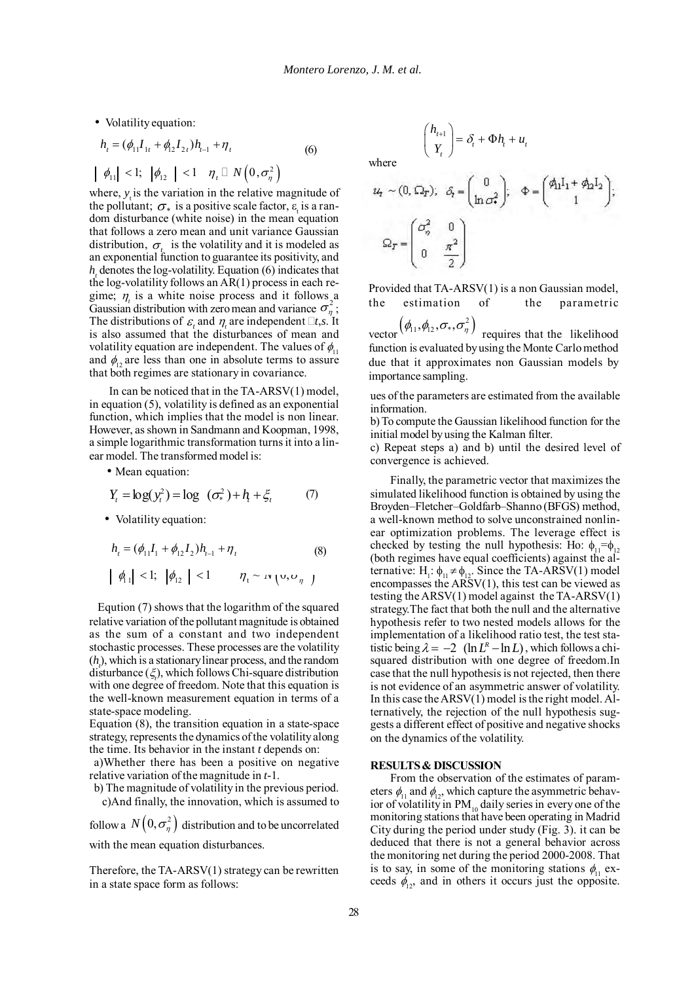• Volatility equation:

$$
h_{t} = (\phi_{11}I_{1t} + \phi_{2}I_{2t})h_{t-1} + \eta_{t}
$$
\n
$$
|\phi_{11}| < 1; |\phi_{12}| < 1 \quad \eta_{t} \square N(0, \sigma_{\eta}^{2})
$$
\nwhere\n
$$
|\phi_{11}| < 1; |\phi_{12}| < 1 \quad \eta_{t} \square N(0, \sigma_{\eta}^{2})
$$
\nwhere\n
$$
\mathcal{L}_{t} = \mathcal{L}_{t} \mathcal{L}_{t} \mathcal{L}_{t} \mathcal{L}_{t} \mathcal{L}_{t}
$$
\nwhere\n
$$
\mathcal{L}_{t} = \mathcal{L}_{t} \mathcal{L}_{t} \mathcal{L}_{t} \mathcal{L}_{t}
$$

where,  $y_i$  is the variation in the relative magnitude of the pollutant;  $\sigma_*$  is a positive scale factor,  $\varepsilon_{\text{t}}$  is a random disturbance (white noise) in the mean equation that follows a zero mean and unit variance Gaussian distribution,  $\sigma_t$  is the volatility and it is modeled as an exponential function to guarantee its positivity, and  $h_t$  denotes the log-volatility. Equation (6) indicates that the log-volatility follows an AR(1) process in each regime;  $\eta_t$  is a white noise process and it follows a Gaussian distribution with zero mean and variance  $\sigma_n^2$ ; The distributions of  $\varepsilon_t$  and  $\eta_t$  are independent  $\Box t$ ,*s*. It is also assumed that the disturbances of mean and volatility equation are independent. The values of  $\phi_{11}$ and  $\phi_{12}$  are less than one in absolute terms to assure that both regimes are stationary in covariance.

In can be noticed that in the TA-ARSV(1) model, in equation (5), volatility is defined as an exponential function, which implies that the model is non linear. However, as shown in Sandmann and Koopman, 1998, a simple logarithmic transformation turns it into a linear model. The transformed model is:

• Mean equation:

$$
Y_{t} = \log(y_{t}^{2}) = \log(\sigma_{*}^{2}) + h_{t} + \xi_{t}
$$
 (7)

• Volatility equation:

$$
h_{t} = (\phi_{11}I_{1} + \phi_{12}I_{2})h_{t-1} + \eta_{t}
$$
\n(8)\n
$$
|\phi_{1}| < 1; |\phi_{12}| < 1 \qquad \eta_{t} \sim \text{iv } (\upsilon, \sigma_{\eta})
$$

Equation (7) shows that the logarithm of the squared  
relative variation of the pollutant magnitude is obtained  
as the sum of a constant and two independent  
stochastic processes. These processes are the volatility  
(*h*), which is a stationary linear process, and the random  
disturbance (
$$
\xi_i
$$
), which follows Chi-square distribution  
with one degree of freedom. Note that this equation is  
the well-known measurement equation in terms of a  
state-space modeling.

Equation (8), the transition equation in a state-space strategy, represents the dynamics of the volatility along the time. Its behavior in the instant *t* depends on:

 a)Whether there has been a positive on negative relative variation of the magnitude in *t-*1.

 b) The magnitude of volatility in the previous period. c)And finally, the innovation, which is assumed to

follow a  $N \left( 0, \sigma_n^2 \right)$  distribution and to be uncorrelated

with the mean equation disturbances.

Therefore, the TA-ARSV(1) strategy can be rewritten in a state space form as follows:

$$
\begin{pmatrix} h_{t+1} \\ Y_t \end{pmatrix} = \delta_t + \Phi h_t + u_t
$$

where

$$
u_t \sim (0, \Omega_T); \quad \delta_t = \begin{pmatrix} 0 \\ \ln \sigma^2 \end{pmatrix}; \quad \Phi = \begin{pmatrix} \phi_1 I_1 + \phi_2 I_2 \\ 1 \end{pmatrix};
$$

$$
\Omega_T = \begin{pmatrix} \sigma^2_y & 0 \\ 0 & \frac{\pi^2}{2} \end{pmatrix}
$$

Provided that TA-ARSV(1) is a non Gaussian model, the estimation of the parametric

vector  $(\phi_1, \phi_1, \sigma_*, \sigma_1^2)$  requires that the likelihood function is evaluated by using the Monte Carlo method due that it approximates non Gaussian models by importance sampling.

ues of the parameters are estimated from the available information.

b) To compute the Gaussian likelihood function for the initial model by using the Kalman filter.

c) Repeat steps a) and b) until the desired level of convergence is achieved.

 $h_t = (\phi_{11}I_1 + \phi_{12}I_2)h_{t-1} + \eta_t$  (8) checked by testing the null hypothesis: Ho:  $\phi_{11} = \phi_{12}$ Finally, the parametric vector that maximizes the simulated likelihood function is obtained by using the Broyden–Fletcher–Goldfarb–Shanno (BFGS) method, a well-known method to solve unconstrained nonlinear optimization problems. The leverage effect is (both regimes have equal coefficients) against the alternative:  $H_1$ :  $\phi_{11} \neq \phi_{12}$ . Since the TA-ARSV(1) model encompasses the  $ARSV(1)$ , this test can be viewed as testing the ARSV(1) model against the TA-ARSV(1) strategy.The fact that both the null and the alternative hypothesis refer to two nested models allows for the implementation of a likelihood ratio test, the test statistic being  $\lambda = -2 \left( \ln \frac{L^R - \ln L}{L} \right)$ , which follows a chisquared distribution with one degree of freedom.In case that the null hypothesis is not rejected, then there is not evidence of an asymmetric answer of volatility. In this case the ARSV(1) model is the right model. Alternatively, the rejection of the null hypothesis suggests a different effect of positive and negative shocks on the dynamics of the volatility.

# **RESULTS & DISCUSSION**

From the observation of the estimates of parameters  $\phi_{11}$  and  $\phi_{12}$ , which capture the asymmetric behavior of volatility in  $PM_{10}$  daily series in every one of the monitoring stations that have been operating in Madrid City during the period under study (Fig. 3). it can be deduced that there is not a general behavior across the monitoring net during the period 2000-2008. That is to say, in some of the monitoring stations  $\phi_{11}$  exceeds  $\phi_{12}$ , and in others it occurs just the opposite.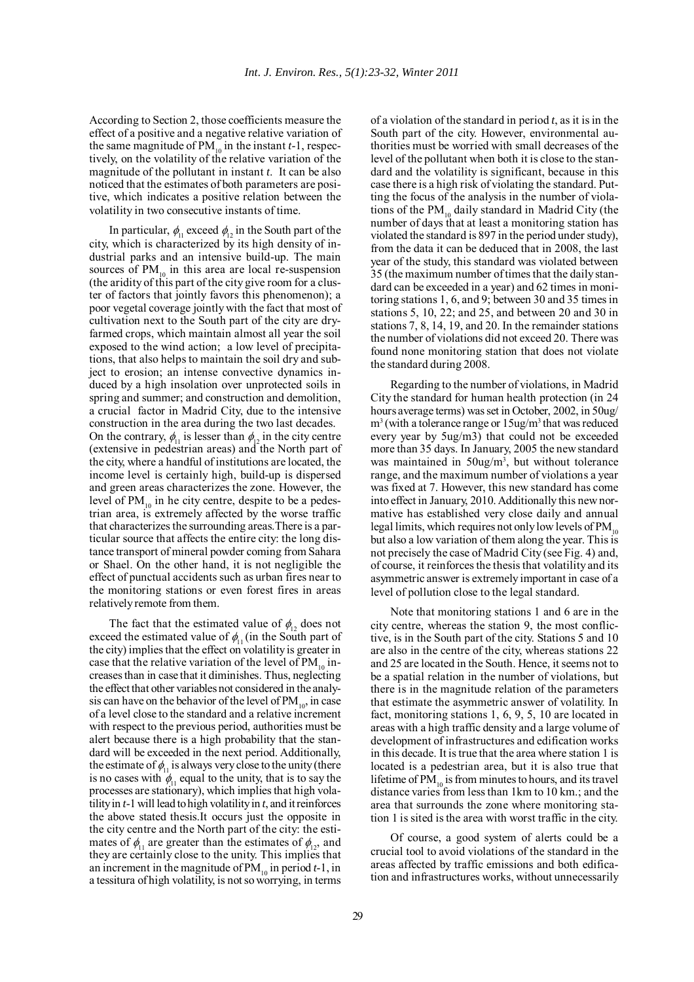According to Section 2, those coefficients measure the effect of a positive and a negative relative variation of the same magnitude of  $PM_{10}$  in the instant  $t-1$ , respectively, on the volatility of the relative variation of the magnitude of the pollutant in instant *t*. It can be also noticed that the estimates of both parameters are positive, which indicates a positive relation between the volatility in two consecutive instants of time.

In particular,  $\phi_{11}$  exceed  $\phi_{12}$  in the South part of the city, which is characterized by its high density of industrial parks and an intensive build-up. The main sources of  $PM_{10}$  in this area are local re-suspension (the aridity of this part of the city give room for a cluster of factors that jointly favors this phenomenon); a poor vegetal coverage jointly with the fact that most of cultivation next to the South part of the city are dryfarmed crops, which maintain almost all year the soil exposed to the wind action; a low level of precipitations, that also helps to maintain the soil dry and subject to erosion; an intense convective dynamics induced by a high insolation over unprotected soils in spring and summer; and construction and demolition, a crucial factor in Madrid City, due to the intensive construction in the area during the two last decades. On the contrary,  $\phi_{11}$  is lesser than  $\phi_{12}$  in the city centre (extensive in pedestrian areas) and the North part of the city, where a handful of institutions are located, the income level is certainly high, build-up is dispersed and green areas characterizes the zone. However, the level of  $PM_{10}$  in he city centre, despite to be a pedestrian area, is extremely affected by the worse traffic that characterizes the surrounding areas.There is a particular source that affects the entire city: the long distance transport of mineral powder coming from Sahara or Shael. On the other hand, it is not negligible the effect of punctual accidents such as urban fires near to the monitoring stations or even forest fires in areas relatively remote from them.

The fact that the estimated value of  $\phi_{12}$  does not exceed the estimated value of  $\phi_{11}$  (in the South part of the city) implies that the effect on volatility is greater in case that the relative variation of the level of  $PM_{10}$  increases than in case that it diminishes. Thus, neglecting the effect that other variables not considered in the analysis can have on the behavior of the level of  $PM_{10}$ , in case of a level close to the standard and a relative increment with respect to the previous period, authorities must be alert because there is a high probability that the standard will be exceeded in the next period. Additionally, the estimate of  $\phi_{11}$  is always very close to the unity (there is no cases with  $\phi_{11}$  equal to the unity, that is to say the processes are stationary), which implies that high volatility in *t*-1 will lead to high volatility in *t*, and it reinforces the above stated thesis.It occurs just the opposite in the city centre and the North part of the city: the estimates of  $\phi_{11}$  are greater than the estimates of  $\phi_{12}$ , and they are certainly close to the unity. This implies that an increment in the magnitude of  $PM_{10}$  in period  $t-1$ , in a tessitura of high volatility, is not so worrying, in terms of a violation of the standard in period *t*, as it is in the South part of the city. However, environmental authorities must be worried with small decreases of the level of the pollutant when both it is close to the standard and the volatility is significant, because in this case there is a high risk of violating the standard. Putting the focus of the analysis in the number of violations of the  $PM_{10}$  daily standard in Madrid City (the number of days that at least a monitoring station has violated the standard is 897 in the period under study), from the data it can be deduced that in 2008, the last year of the study, this standard was violated between 35 (the maximum number of times that the daily standard can be exceeded in a year) and 62 times in monitoring stations 1, 6, and 9; between 30 and 35 times in stations 5, 10, 22; and 25, and between 20 and 30 in stations 7, 8, 14, 19, and 20. In the remainder stations the number of violations did not exceed 20. There was found none monitoring station that does not violate the standard during 2008.

Regarding to the number of violations, in Madrid City the standard for human health protection (in 24 hours average terms) was set in October, 2002, in 50ug/  $m<sup>3</sup>$  (with a tolerance range or  $15ug/m<sup>3</sup>$  that was reduced every year by 5ug/m3) that could not be exceeded more than 35 days. In January, 2005 the new standard was maintained in  $50$ ug/m<sup>3</sup>, but without tolerance range, and the maximum number of violations a year was fixed at 7. However, this new standard has come into effect in January, 2010. Additionally this new normative has established very close daily and annual legal limits, which requires not only low levels of  $PM_{10}$ but also a low variation of them along the year. This is not precisely the case of Madrid City (see Fig. 4) and, of course, it reinforces the thesis that volatility and its asymmetric answer is extremely important in case of a level of pollution close to the legal standard.

Note that monitoring stations 1 and 6 are in the city centre, whereas the station 9, the most conflictive, is in the South part of the city. Stations 5 and 10 are also in the centre of the city, whereas stations 22 and 25 are located in the South. Hence, it seems not to be a spatial relation in the number of violations, but there is in the magnitude relation of the parameters that estimate the asymmetric answer of volatility. In fact, monitoring stations 1, 6, 9, 5, 10 are located in areas with a high traffic density and a large volume of development of infrastructures and edification works in this decade. It is true that the area where station 1 is located is a pedestrian area, but it is also true that lifetime of  $PM_{10}$  is from minutes to hours, and its travel distance varies from less than 1km to 10 km.; and the area that surrounds the zone where monitoring station 1 is sited is the area with worst traffic in the city.

Of course, a good system of alerts could be a crucial tool to avoid violations of the standard in the areas affected by traffic emissions and both edification and infrastructures works, without unnecessarily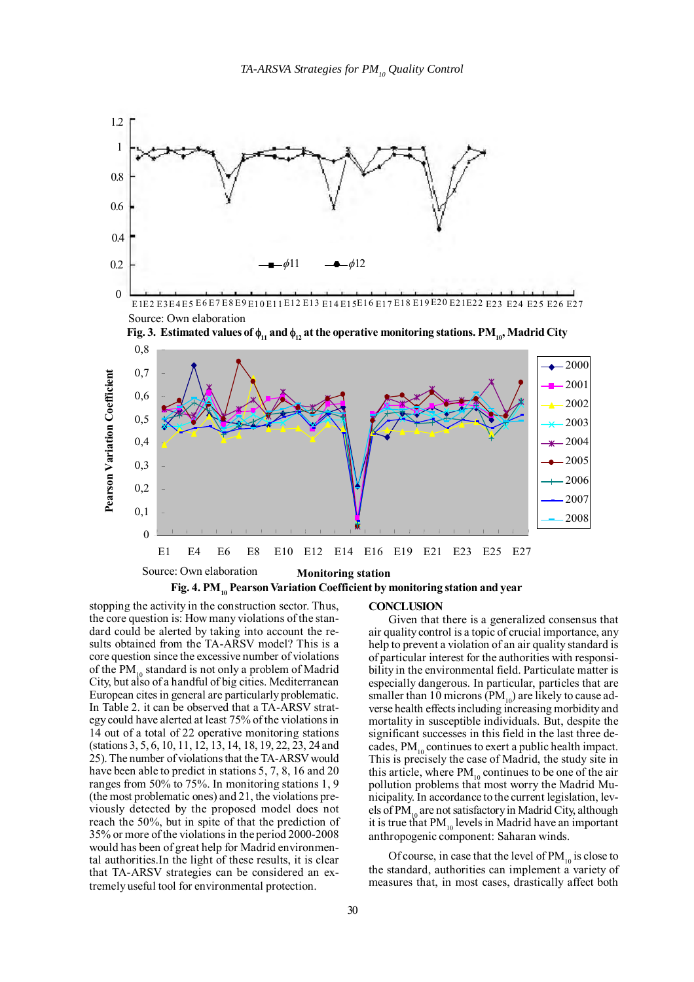

Fig. 4. PM<sub>10</sub> Pearson Variation Coefficient by monitoring station and year

stopping the activity in the construction sector. Thus, the core question is: How many violations of the standard could be alerted by taking into account the results obtained from the TA-ARSV model? This is a core question since the excessive number of violations of the  $PM_{10}$  standard is not only a problem of Madrid City, but also of a handful of big cities. Mediterranean European cites in general are particularly problematic. In Table 2. it can be observed that a TA-ARSV strategy could have alerted at least 75% of the violations in 14 out of a total of 22 operative monitoring stations (stations 3, 5, 6, 10, 11, 12, 13, 14, 18, 19, 22, 23, 24 and 25). The number of violations that the TA-ARSV would have been able to predict in stations 5, 7, 8, 16 and 20 ranges from 50% to 75%. In monitoring stations 1, 9 (the most problematic ones) and 21, the violations previously detected by the proposed model does not reach the 50%, but in spite of that the prediction of 35% or more of the violations in the period 2000-2008 would has been of great help for Madrid environmental authorities.In the light of these results, it is clear that TA-ARSV strategies can be considered an extremely useful tool for environmental protection.

#### **CONCLUSION**

Given that there is a generalized consensus that air quality control is a topic of crucial importance, any help to prevent a violation of an air quality standard is of particular interest for the authorities with responsibility in the environmental field. Particulate matter is especially dangerous. In particular, particles that are smaller than 10 microns ( $PM_{10}$ ) are likely to cause adverse health effects including increasing morbidity and mortality in susceptible individuals. But, despite the significant successes in this field in the last three decades,  $PM_{10}$  continues to exert a public health impact. This is precisely the case of Madrid, the study site in this article, where  $PM_{10}$  continues to be one of the air pollution problems that most worry the Madrid Municipality. In accordance to the current legislation, levels of PM<sub>10</sub> are not satisfactory in Madrid City, although it is true that  $PM_{10}$  levels in Madrid have an important anthropogenic component: Saharan winds.

Of course, in case that the level of  $PM_{10}$  is close to the standard, authorities can implement a variety of measures that, in most cases, drastically affect both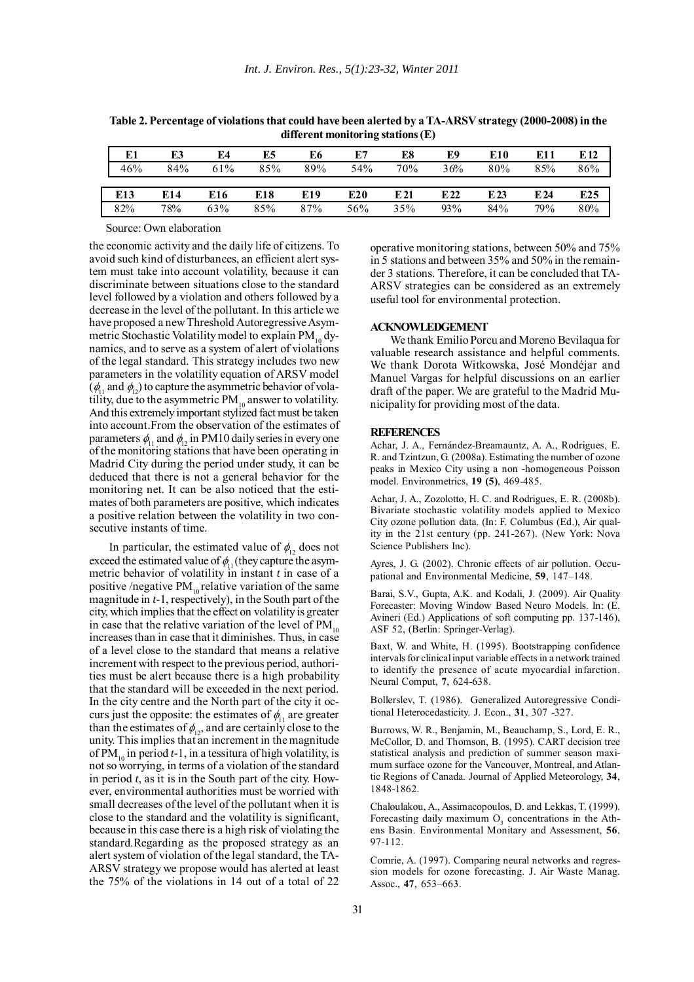| E1  | E3  | E4  | E5  | E6  |     | E8  | E9   | E10             | E11  | E 12 |
|-----|-----|-----|-----|-----|-----|-----|------|-----------------|------|------|
| 46% | 84% | 61% | 85% | 89% | 54% | 70% | 36%  | 80%             | 85%  | 86%  |
|     |     |     |     |     |     |     |      |                 |      |      |
| E13 | E14 | E16 | E18 | E19 | E20 | E21 | E 22 | E <sub>23</sub> | E 24 | E25  |
| 82% | 78% | 63% | 85% | 87% | 56% | 35% | 93%  | 84%             | 79%  | 80%  |

**Table 2. Percentage of violations that could have been alerted by a TA-ARSV strategy (2000-2008) in the different monitoring stations (E)**

Source: Own elaboration

the economic activity and the daily life of citizens. To avoid such kind of disturbances, an efficient alert system must take into account volatility, because it can discriminate between situations close to the standard level followed by a violation and others followed by a decrease in the level of the pollutant. In this article we have proposed a new Threshold Autoregressive Asymmetric Stochastic Volatility model to explain  $PM_{10}$  dynamics, and to serve as a system of alert of violations of the legal standard. This strategy includes two new parameters in the volatility equation of ARSV model  $(\phi_1)$  and  $\phi_2$ ) to capture the asymmetric behavior of volatility, due to the asymmetric  $PM_{10}$  answer to volatility. And this extremely important stylized fact must be taken into account.From the observation of the estimates of parameters  $\phi_{11}$  and  $\phi_{12}$  in PM10 daily series in every one of the monitoring stations that have been operating in Madrid City during the period under study, it can be deduced that there is not a general behavior for the monitoring net. It can be also noticed that the estimates of both parameters are positive, which indicates a positive relation between the volatility in two consecutive instants of time.

In particular, the estimated value of  $\phi_1$ , does not exceed the estimated value of  $\phi_{11}$  (they capture the asymmetric behavior of volatility in instant *t* in case of a positive /negative  $PM_{10}$  relative variation of the same magnitude in *t*-1, respectively), in the South part of the city, which implies that the effect on volatility is greater in case that the relative variation of the level of  $PM_{10}$ increases than in case that it diminishes. Thus, in case of a level close to the standard that means a relative increment with respect to the previous period, authorities must be alert because there is a high probability that the standard will be exceeded in the next period. In the city centre and the North part of the city it occurs just the opposite: the estimates of  $\phi_{11}$  are greater than the estimates of  $\phi_1$ , and are certainly close to the unity. This implies that an increment in the magnitude of PM<sub>10</sub> in period  $t-1$ , in a tessitura of high volatility, is not so worrying, in terms of a violation of the standard in period *t*, as it is in the South part of the city. However, environmental authorities must be worried with small decreases of the level of the pollutant when it is close to the standard and the volatility is significant, because in this case there is a high risk of violating the standard.Regarding as the proposed strategy as an alert system of violation of the legal standard, the TA-ARSV strategy we propose would has alerted at least the 75% of the violations in 14 out of a total of 22

operative monitoring stations, between 50% and 75% in 5 stations and between 35% and 50% in the remainder 3 stations. Therefore, it can be concluded that TA-ARSV strategies can be considered as an extremely useful tool for environmental protection.

### **ACKNOWLEDGEMENT**

We thank Emilio Porcu and Moreno Bevilaqua for valuable research assistance and helpful comments. We thank Dorota Witkowska, José Mondéjar and Manuel Vargas for helpful discussions on an earlier draft of the paper. We are grateful to the Madrid Municipality for providing most of the data.

#### **REFERENCES**

Achar, J. A., Fernández-Breamauntz, A. A., Rodrigues, E. R. and Tzintzun, G. (2008a). Estimating the number of ozone peaks in Mexico City using a non -homogeneous Poisson model. Environmetrics, **19 (5)**, 469-485.

Achar, J. A., Zozolotto, H. C. and Rodrigues, E. R. (2008b). Bivariate stochastic volatility models applied to Mexico City ozone pollution data. (In: F. Columbus (Ed.), Air quality in the 21st century (pp. 241-267). (New York: Nova Science Publishers Inc).

Ayres, J. G. (2002). Chronic effects of air pollution. Occupational and Environmental Medicine, **59**, 147–148.

Barai, S.V., Gupta, A.K. and Kodali, J. (2009). Air Quality Forecaster: Moving Window Based Neuro Models. In: (E. Avineri (Ed.) Applications of soft computing pp. 137-146), ASF 52, (Berlin: Springer-Verlag).

Baxt, W. and White, H. (1995). Bootstrapping confidence intervals for clinical input variable effects in a network trained to identify the presence of acute myocardial infarction. Neural Comput, **7**, 624-638.

Bollerslev, T. (1986). Generalized Autoregressive Conditional Heterocedasticity. J. Econ., **31**, 307 -327.

Burrows, W. R., Benjamin, M., Beauchamp, S., Lord, E. R., McCollor, D. and Thomson, B. (1995). CART decision tree statistical analysis and prediction of summer season maximum surface ozone for the Vancouver, Montreal, and Atlantic Regions of Canada. Journal of Applied Meteorology, **34**, 1848-1862.

Chaloulakou, A., Assimacopoulos, D. and Lekkas, T. (1999). Forecasting daily maximum  $O_3$  concentrations in the Athens Basin. Environmental Monitary and Assessment, **56**, 97-112.

Comrie, A. (1997). Comparing neural networks and regression models for ozone forecasting. J. Air Waste Manag. Assoc., **47**, 653–663.